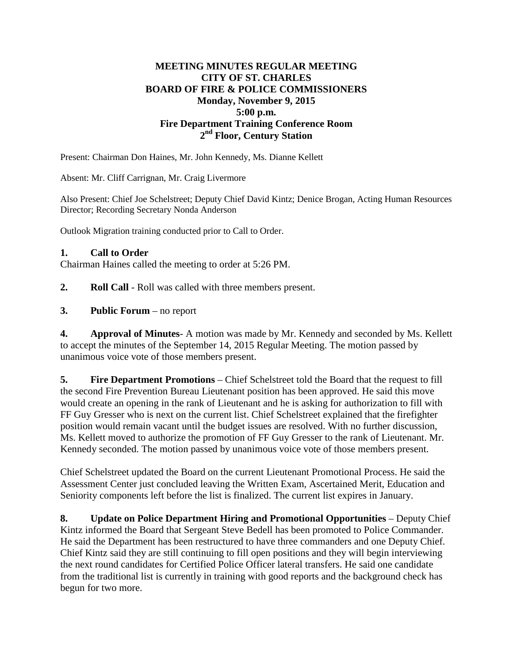## **MEETING MINUTES REGULAR MEETING CITY OF ST. CHARLES BOARD OF FIRE & POLICE COMMISSIONERS Monday, November 9, 2015 5:00 p.m. Fire Department Training Conference Room 2nd Floor, Century Station**

Present: Chairman Don Haines, Mr. John Kennedy, Ms. Dianne Kellett

Absent: Mr. Cliff Carrignan, Mr. Craig Livermore

Also Present: Chief Joe Schelstreet; Deputy Chief David Kintz; Denice Brogan, Acting Human Resources Director; Recording Secretary Nonda Anderson

Outlook Migration training conducted prior to Call to Order.

## **1. Call to Order**

Chairman Haines called the meeting to order at 5:26 PM.

- **2. Roll Call** Roll was called with three members present.
- **3. Public Forum** no report

**4. Approval of Minutes**- A motion was made by Mr. Kennedy and seconded by Ms. Kellett to accept the minutes of the September 14, 2015 Regular Meeting. The motion passed by unanimous voice vote of those members present.

**5. Fire Department Promotions** – Chief Schelstreet told the Board that the request to fill the second Fire Prevention Bureau Lieutenant position has been approved. He said this move would create an opening in the rank of Lieutenant and he is asking for authorization to fill with FF Guy Gresser who is next on the current list. Chief Schelstreet explained that the firefighter position would remain vacant until the budget issues are resolved. With no further discussion, Ms. Kellett moved to authorize the promotion of FF Guy Gresser to the rank of Lieutenant. Mr. Kennedy seconded. The motion passed by unanimous voice vote of those members present.

Chief Schelstreet updated the Board on the current Lieutenant Promotional Process. He said the Assessment Center just concluded leaving the Written Exam, Ascertained Merit, Education and Seniority components left before the list is finalized. The current list expires in January.

**8. Update on Police Department Hiring and Promotional Opportunities** – Deputy Chief Kintz informed the Board that Sergeant Steve Bedell has been promoted to Police Commander. He said the Department has been restructured to have three commanders and one Deputy Chief. Chief Kintz said they are still continuing to fill open positions and they will begin interviewing the next round candidates for Certified Police Officer lateral transfers. He said one candidate from the traditional list is currently in training with good reports and the background check has begun for two more.